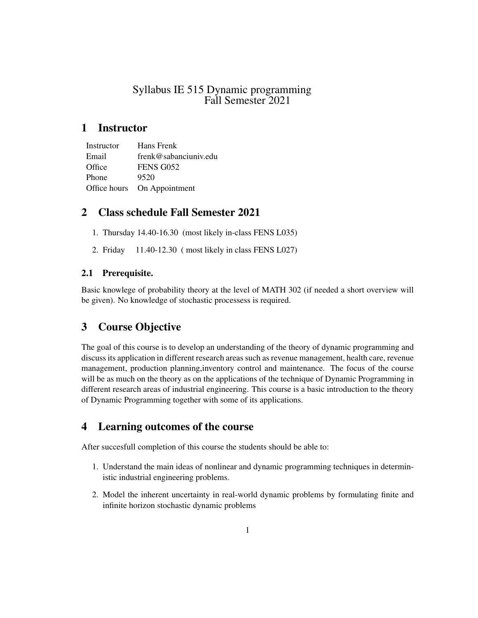## Syllabus IE 515 Dynamic programming Fall Semester 2021

# 1 Instructor

| Instructor   | Hans Frenk            |
|--------------|-----------------------|
| Email        | frenk@sabanciuniv.edu |
| Office       | FENS G052             |
| Phone        | 9520                  |
| Office hours | On Appointment        |

# 2 Class schedule Fall Semester 2021

- 1. Thursday 14.40-16.30 (most likely in-class FENS L035)
- 2. Friday 11.40-12.30 ( most likely in class FENS L027)

## 2.1 Prerequisite.

Basic knowlege of probability theory at the level of MATH 302 (if needed a short overview will be given). No knowledge of stochastic processess is required.

# 3 Course Objective

The goal of this course is to develop an understanding of the theory of dynamic programming and discuss its application in different research areas such as revenue management, health care, revenue management, production planning,inventory control and maintenance. The focus of the course will be as much on the theory as on the applications of the technique of Dynamic Programming in different research areas of industrial engineering. This course is a basic introduction to the theory of Dynamic Programming together with some of its applications.

# 4 Learning outcomes of the course

After succesfull completion of this course the students should be able to:

- 1. Understand the main ideas of nonlinear and dynamic programming techniques in deterministic industrial engineering problems.
- 2. Model the inherent uncertainty in real-world dynamic problems by formulating finite and infinite horizon stochastic dynamic problems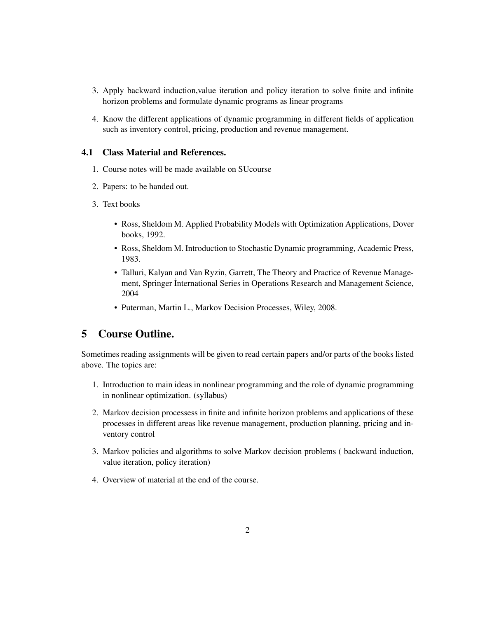- 3. Apply backward induction,value iteration and policy iteration to solve finite and infinite horizon problems and formulate dynamic programs as linear programs
- 4. Know the different applications of dynamic programming in different fields of application such as inventory control, pricing, production and revenue management.

#### 4.1 Class Material and References.

- 1. Course notes will be made available on SUcourse
- 2. Papers: to be handed out.
- 3. Text books
	- Ross, Sheldom M. Applied Probability Models with Optimization Applications, Dover books, 1992.
	- Ross, Sheldom M. Introduction to Stochastic Dynamic programming, Academic Press, 1983.
	- Talluri, Kalyan and Van Ryzin, Garrett, The Theory and Practice of Revenue Management, Springer İnternational Series in Operations Research and Management Science, 2004
	- Puterman, Martin L., Markov Decision Processes, Wiley, 2008.

## 5 Course Outline.

Sometimes reading assignments will be given to read certain papers and/or parts of the books listed above. The topics are:

- 1. Introduction to main ideas in nonlinear programming and the role of dynamic programming in nonlinear optimization. (syllabus)
- 2. Markov decision processess in finite and infinite horizon problems and applications of these processes in different areas like revenue management, production planning, pricing and inventory control
- 3. Markov policies and algorithms to solve Markov decision problems ( backward induction, value iteration, policy iteration)
- 4. Overview of material at the end of the course.